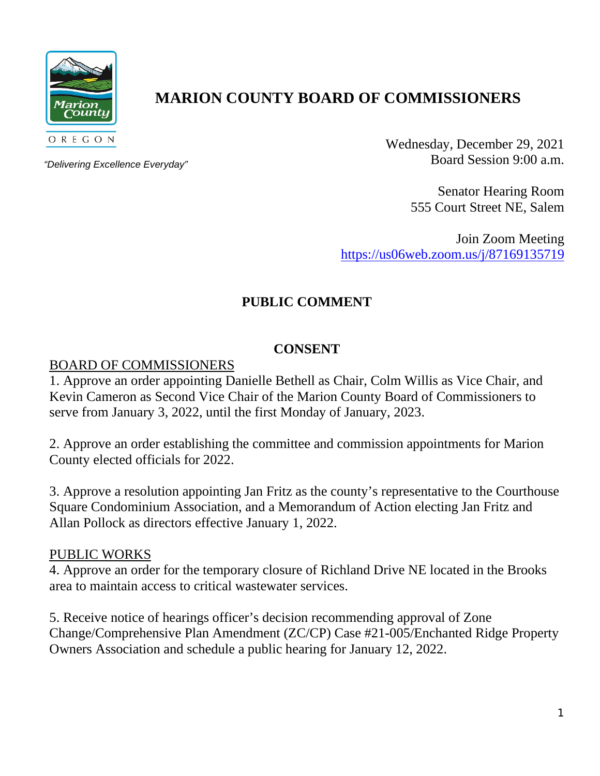

# **MARION COUNTY BOARD OF COMMISSIONERS**

*"Delivering Excellence Everyday"*

Wednesday, December 29, 2021 Board Session 9:00 a.m.

> Senator Hearing Room 555 Court Street NE, Salem

Join Zoom Meeting <https://us06web.zoom.us/j/87169135719>

## **PUBLIC COMMENT**

## **CONSENT**

## BOARD OF COMMISSIONERS

1. Approve an order appointing Danielle Bethell as Chair, Colm Willis as Vice Chair, and Kevin Cameron as Second Vice Chair of the Marion County Board of Commissioners to serve from January 3, 2022, until the first Monday of January, 2023.

2. Approve an order establishing the committee and commission appointments for Marion County elected officials for 2022.

3. Approve a resolution appointing Jan Fritz as the county's representative to the Courthouse Square Condominium Association, and a Memorandum of Action electing Jan Fritz and Allan Pollock as directors effective January 1, 2022.

#### PUBLIC WORKS

4. Approve an order for the temporary closure of Richland Drive NE located in the Brooks area to maintain access to critical wastewater services.

5. Receive notice of hearings officer's decision recommending approval of Zone Change/Comprehensive Plan Amendment (ZC/CP) Case #21-005/Enchanted Ridge Property Owners Association and schedule a public hearing for January 12, 2022.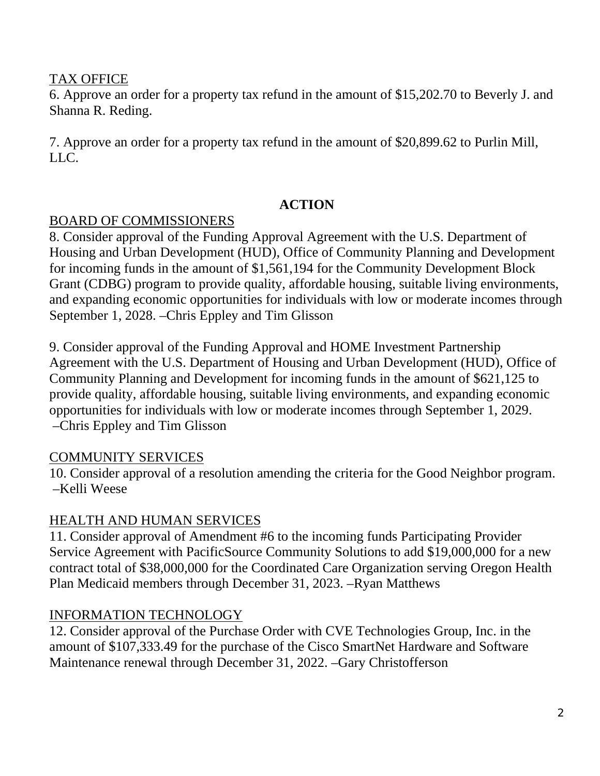## TAX OFFICE

6. Approve an order for a property tax refund in the amount of \$15,202.70 to Beverly J. and Shanna R. Reding.

7. Approve an order for a property tax refund in the amount of \$20,899.62 to Purlin Mill, LLC.

## **ACTION**

## BOARD OF COMMISSIONERS

8. Consider approval of the Funding Approval Agreement with the U.S. Department of Housing and Urban Development (HUD), Office of Community Planning and Development for incoming funds in the amount of \$1,561,194 for the Community Development Block Grant (CDBG) program to provide quality, affordable housing, suitable living environments, and expanding economic opportunities for individuals with low or moderate incomes through September 1, 2028. –Chris Eppley and Tim Glisson

9. Consider approval of the Funding Approval and HOME Investment Partnership Agreement with the U.S. Department of Housing and Urban Development (HUD), Office of Community Planning and Development for incoming funds in the amount of \$621,125 to provide quality, affordable housing, suitable living environments, and expanding economic opportunities for individuals with low or moderate incomes through September 1, 2029. –Chris Eppley and Tim Glisson

## COMMUNITY SERVICES

10. Consider approval of a resolution amending the criteria for the Good Neighbor program. –Kelli Weese

## HEALTH AND HUMAN SERVICES

11. Consider approval of Amendment #6 to the incoming funds Participating Provider Service Agreement with PacificSource Community Solutions to add \$19,000,000 for a new contract total of \$38,000,000 for the Coordinated Care Organization serving Oregon Health Plan Medicaid members through December 31, 2023. –Ryan Matthews

## INFORMATION TECHNOLOGY

12. Consider approval of the Purchase Order with CVE Technologies Group, Inc. in the amount of \$107,333.49 for the purchase of the Cisco SmartNet Hardware and Software Maintenance renewal through December 31, 2022. –Gary Christofferson